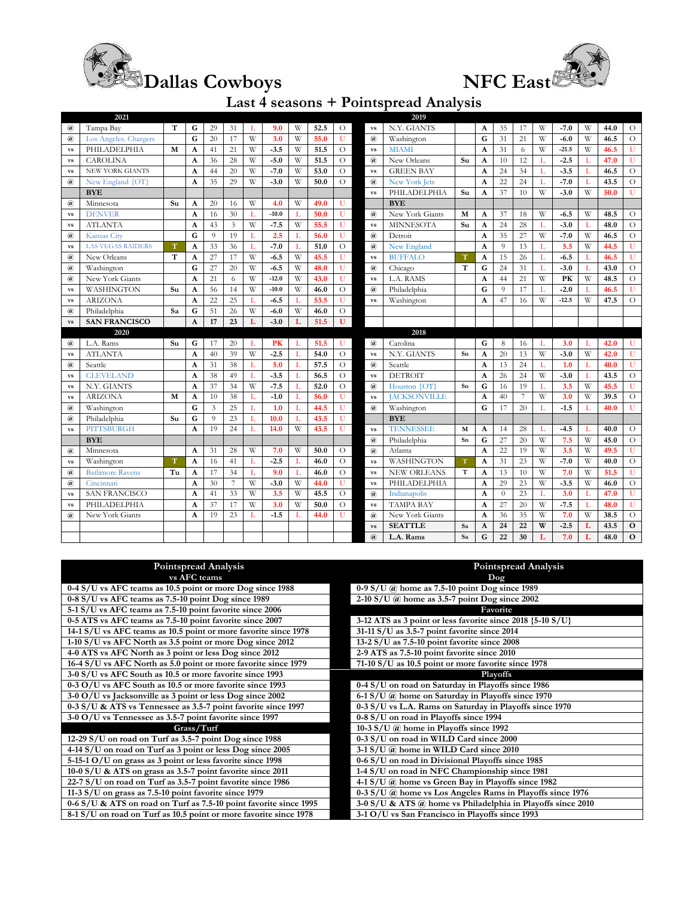



## **Last 4 seasons + Pointspread Analysis**

|                                                                                                                | 2021                     |    |              |                |                |    |         |   |      |                |                            | 2019                 |             |                           |                |                |   |         |   |      |              |
|----------------------------------------------------------------------------------------------------------------|--------------------------|----|--------------|----------------|----------------|----|---------|---|------|----------------|----------------------------|----------------------|-------------|---------------------------|----------------|----------------|---|---------|---|------|--------------|
| $\left(\overline{a}\right)$                                                                                    | Tampa Bay                | т  | G            | 29             | 31             | T  | 9.0     | W | 52.5 | О              | <b>VS</b>                  | N.Y. GIANTS          |             | A                         | 35             | 17             | W | $-7.0$  | W | 44.0 | $\circ$      |
| $\left(\overline{a}\right)$                                                                                    | Los Angeles. Chargers    |    | G            | 20             | 17             | W  | 3.0     | W | 55.0 | U              | $\mathbf{a}$               | Washington           |             | G                         | 31             | 21             | W | $-6.0$  | W | 46.5 | $\Omega$     |
| $\mathbf{v}\mathbf{s}$                                                                                         | PHILADELPHIA<br>M        |    | A            | 41             | 21             | W  | $-3.5$  | W | 51.5 | $\circ$        | <b>vs</b>                  | <b>MIAMI</b>         |             | $\mathbf{A}$              | 31             | 6              | W | $-21.5$ | W | 46.5 | U            |
| $\mathbf{v}\mathbf{s}$                                                                                         | <b>CAROLINA</b>          |    | $\mathbf{A}$ | 36             | 28             | W  | $-5.0$  | W | 51.5 | $\circ$        | $\mathbf{a}$               | New Orleans          | Su          | $\mathbf{A}$              | 10             | 12             | L | $-2.5$  |   | 47.0 | $\mathbf U$  |
| <b>vs</b>                                                                                                      | <b>NEW YORK GIANTS</b>   |    | A            | 44             | 20             | W  | $-7.0$  | W | 53.0 | $\circ$        | <b>vs</b>                  | <b>GREEN BAY</b>     |             | A                         | 24             | 34             | L | $-3.5$  | L | 46.5 | $\circ$      |
| $\mathbf{a}$                                                                                                   | New England {OT}         |    | $\mathbf{A}$ | 35             | 29             | W  | $-3.0$  | W | 50.0 | $\circ$        | $\mathbf{a}$               | <b>New York Jets</b> |             | A                         | 22             | 24             | Г | $-7.0$  |   | 43.5 | $\circ$      |
|                                                                                                                | <b>BYE</b>               |    |              |                |                |    |         |   |      |                | <b>vs</b>                  | PHILADELPHIA         | Su          | A                         | 37             | 10             | W | $-3.0$  | W | 50.0 | $\mathbf U$  |
| $\left(\overline{a}\right)$                                                                                    | Minnesota                | Su | A            | 20             | 16             | W  | 4.0     | W | 49.0 | U              |                            | <b>BYE</b>           |             |                           |                |                |   |         |   |      |              |
| $\mathbf{v}\mathbf{s}$                                                                                         | <b>DENVER</b>            |    | $\mathbf{A}$ | 16             | 30             | T. | $-10.0$ | L | 50.0 | U              | $\mathbf{a}$               | New York Giants      | M           | A                         | 37             | 18             | W | $-6.5$  | W | 48.5 | $\circ$      |
| $\mathbf{v}\mathbf{s}$                                                                                         | <b>ATLANTA</b>           |    | A            | 43             | $\overline{3}$ | W  | $-7.5$  | W | 55.5 | U              | $\mathbf{v}\mathbf{s}$     | <b>MINNESOTA</b>     | Su          | A                         | 24             | 28             | L | $-3.0$  |   | 48.0 | $\circ$      |
| $\mathbf{a}$                                                                                                   | <b>Kansas City</b>       |    | G            | $\overline{9}$ | 19             | L  | 2.5     | L | 56.0 | U              | $\mathbf{a}$               | Detroit              |             | A                         | 35             | 27             | W | $-7.0$  | W | 46.5 | $\Omega$     |
| <b>VS</b>                                                                                                      | <b>LAS VEGAS RAIDERS</b> | т  | A            | 33             | 36             | L  | $-7.0$  | L | 51.0 | $\circ$        | $\mathbf{a}$               | New England          |             | A                         | $\overline{Q}$ | 13             | L | 5.5     | W | 44.5 | U            |
| $\mathbf{a}$                                                                                                   | New Orleans              | T  | A            | 27             | 17             | W  | $-6.5$  | W | 45.5 | Ū              | <b>vs</b>                  | <b>BUFFALO</b>       | $\mathbf T$ | $\mathbf{A}$              | 15             | 26             | Г | $-6.5$  | T | 46.5 | U            |
| $\left(\overline{a}\right)$                                                                                    | Washington               |    | G            | 27             | 20             | W  | $-6.5$  | W | 48.0 | U              | $\mathbf{a}$               | Chicago              | T           | G                         | 24             | 31             | L | $-3.0$  | T | 43.0 | $\circ$      |
| $\left(\overline{a}\right)$                                                                                    | New York Giants          |    | $\mathbf{A}$ | 21             | 6              | W  | $-12.0$ | W | 43.0 | U              | <b>vs</b>                  | L.A. RAMS            |             | $\mathbf{A}$              | 44             | 21             | W | PK      | W | 48.5 | $\circ$      |
| <b>VS</b>                                                                                                      | WASHINGTON               | Su | A            | 56             | 14             | W  | $-10.0$ | W | 46.0 | $\overline{O}$ | $\mathbf{a}$               | Philadelphia         |             | G                         | $\overline{Q}$ | 17             | L | $-2.0$  |   | 46.5 | U            |
| $\mathbf{v}\mathbf{s}$                                                                                         | <b>ARIZONA</b>           |    | A            | 22             | 25             | L  | $-6.5$  | L | 53.5 | U              | <b>vs</b>                  | Washington           |             | A                         | 47             | 16             | W | $-12.5$ | W | 47.5 | $\circ$      |
| $^{\,a}$                                                                                                       | Philadelphia             | Sa | G            | 51             | 26             | W  | $-6.0$  | W | 46.0 | $\circ$        |                            |                      |             |                           |                |                |   |         |   |      |              |
| <b>vs</b>                                                                                                      | <b>SAN FRANCISCO</b>     |    | $\mathbf{A}$ | 17             | 23             | L  | $-3.0$  | L | 51.5 | U              |                            |                      |             |                           |                |                |   |         |   |      |              |
|                                                                                                                | 2020                     |    |              |                |                |    |         |   |      |                |                            | 2018                 |             |                           |                |                |   |         |   |      |              |
| $\omega$                                                                                                       | L.A. Rams                | Su | G            | 17             | 20             | L  | PK      | L | 51.5 | U              | $\mathbf{a}$               | Carolina             |             | G                         | 8              | 16             | L | 3.0     | L | 42.0 | U            |
| <b>vs</b>                                                                                                      | <b>ATLANTA</b>           |    | $\mathbf{A}$ | 40             | 39             | W  | $-2.5$  | L | 54.0 | $\overline{O}$ | <b>VS</b>                  | N.Y. GIANTS          | Sn          | A                         | 20             | 13             | W | $-3.0$  | W | 42.0 | U            |
| $\mathbf{a}$                                                                                                   | Seattle                  |    | A            | 31             | 38             | L  | 5.0     | L | 57.5 | $\circ$        | $\mathbf{a}$               | Seattle              |             | A                         | 13             | 24             | L | 1.0     | T | 40.0 | U            |
| $\mathbf{v}\mathbf{s}$                                                                                         | <b>CLEVELAND</b>         |    | A            | 38             | 49             | L  | $-3.5$  | L | 56.5 | $\circ$        | $\mathbf{v}\mathbf{s}$     | <b>DETROIT</b>       |             | $\mathbf{A}$              | 26             | 24             | W | $-3.0$  |   | 43.5 | $\circ$      |
| <b>vs</b>                                                                                                      | N.Y. GIANTS              |    | $\mathbf{A}$ | 37             | 34             | W  | $-7.5$  | L | 52.0 | $\circ$        | $\mathbf{a}$               | Houston {OT}         | Sn          | G                         | 16             | 19             | L | 3.5     | W | 45.5 | U            |
| <b>VS</b>                                                                                                      | <b>ARIZONA</b>           | M  | A            | 10             | 38             | L  | $-1.0$  | L | 56.0 | U              | $\mathbf{v}\mathbf{s}$     | <b>JACKSONVILLE</b>  |             | A                         | 40             | $\overline{7}$ | W | 3.0     | W | 39.5 | $\circ$      |
| $\left(\widehat{a}\right)$                                                                                     | Washington               |    | G            | $\overline{3}$ | 25             | L  | 1.0     | L | 44.5 | U              | $\mathbf{a}$               | Washington           |             | G                         | 17             | 20             | L | $-1.5$  |   | 40.0 | $\mathbf U$  |
| $\mathbf{a}$                                                                                                   | Philadelphia             | Su | G            | $\overline{Q}$ | 23             | L  | 10.0    | L | 43.5 | U              |                            | <b>BYE</b>           |             |                           |                |                |   |         |   |      |              |
| <b>VS</b>                                                                                                      | <b>PITTSBURGH</b>        |    | A            | 19             | 24             | T. | 14.0    | W | 43.5 | U              | $\mathbf{v}\mathbf{s}$     | <b>TENNESSEE</b>     | M           | A                         | 14             | 28             | L | $-4.5$  |   | 40.0 | $\Omega$     |
|                                                                                                                | <b>BYE</b>               |    |              |                |                |    |         |   |      |                | $\left(\widehat{a}\right)$ | Philadelphia         | Sn          | G                         | 27             | 20             | W | 7.5     | W | 45.0 | $\circ$      |
| $\left(\widehat{a}\right)$                                                                                     | Minnesota                |    | A            | 31             | 28             | W  | 7.0     | W | 50.0 | $\circ$        | $\mathbf{a}$               | Atlanta              |             | $\mathbf{A}$              | 22             | 19             | W | 3.5     | W | 49.5 | U            |
| <b>VS</b>                                                                                                      | Washington               | T  | $\mathbf{A}$ | 16             | 41             | L  | $-2.5$  | L | 46.0 | $\circ$        | <b>vs</b>                  | WASHINGTON           | $\mathbf T$ | $\mathbf{A}$              | 31             | 23             | W | $-7.0$  | W | 40.0 | $\circ$      |
| $\mathbf{a}$                                                                                                   | <b>Batlimore Ravens</b>  | Tu | A            | 17             | 34             | L  | 9.0     | L | 46.0 | $\circ$        | $\mathbf{v}\mathbf{s}$     | <b>NEW ORLEANS</b>   | $\mathbf T$ | $\mathbf{A}$              | 13             | 10             | W | 7.0     | W | 51.5 | $\mathbf U$  |
| $\left(\overline{a}\right)$                                                                                    | Cincinnati               |    | A            | 30             | $\overline{7}$ | W  | $-3.0$  | W | 44.0 | U              | <b>vs</b>                  | PHILADELPHIA         |             | A                         | 29             | 23             | W | $-3.5$  | W | 46.0 | $\circ$      |
| <b>VS</b>                                                                                                      | <b>SAN FRANCISCO</b>     |    | A            | 41             | 33             | W  | 3.5     | W | 45.5 | $\circ$        | $\mathbf{a}$               | Indianapolis         |             | $\boldsymbol{\mathsf{A}}$ | $\overline{0}$ | 23             | Г | 3.0     | L | 47.0 | $\mathbf U$  |
| <b>VS</b>                                                                                                      | PHILADELPHIA             |    | $\mathbf{A}$ | 37             | 17             | W  | 3.0     | W | 50.0 | $\circ$        | $\mathbf{v}\mathbf{s}$     | <b>TAMPA BAY</b>     |             | $\mathbf{A}$              | 27             | 20             | W | $-7.5$  | L | 48.0 | $\mathbf U$  |
| $\left(\overline{a}\right)$                                                                                    | New York Giants          |    | A            | 19             | 23             | L  | $-1.5$  | L | 44.0 | U              | $\mathbf{a}$               | New York Giants      |             | A                         | 36             | 35             | W | 7.0     | W | 38.5 | $\circ$      |
|                                                                                                                |                          |    |              |                |                |    |         |   |      |                | <b>vs</b>                  | <b>SEATTLE</b>       | Sa          | $\mathbf{A}$              | 24             | 22             | W | $-2.5$  | L | 43.5 | $\mathbf{o}$ |
|                                                                                                                |                          |    |              |                |                |    |         |   |      |                | $\mathbf{a}$               | L.A. Rams            | Sa          | G                         | 22             | 30             | L | 7.0     | L | 48.0 | $\mathbf{o}$ |
|                                                                                                                |                          |    |              |                |                |    |         |   |      |                |                            |                      |             |                           |                |                |   |         |   |      |              |
|                                                                                                                |                          |    |              |                |                |    |         |   |      |                |                            |                      |             |                           |                |                |   |         |   |      |              |
| <b>Pointspread Analysis</b><br><b>Pointspread Analysis</b>                                                     |                          |    |              |                |                |    |         |   |      |                |                            |                      |             |                           |                |                |   |         |   |      |              |
| vs AFC teams<br>Dog                                                                                            |                          |    |              |                |                |    |         |   |      |                |                            |                      |             |                           |                |                |   |         |   |      |              |
| 0-4 S/U vs AFC teams as 10.5 point or more Dog since 1988<br>0-9 $S/U$ (a) home as 7.5-10 point Dog since 1989 |                          |    |              |                |                |    |         |   |      |                |                            |                      |             |                           |                |                |   |         |   |      |              |

| Pointspread Analysis                                              | Pointspread Analysis                                        |
|-------------------------------------------------------------------|-------------------------------------------------------------|
| vs AFC teams                                                      | Doq                                                         |
| 0-4 S/U vs AFC teams as 10.5 point or more Dog since 1988         | 0-9 S/U $@$ home as 7.5-10 point Dog since 1989             |
| 0-8 S/U vs AFC teams as 7.5-10 point Dog since 1989               | $2-10$ S/U $\omega$ home as 3.5-7 point Dog since 2002      |
| 5-1 S/U vs AFC teams as 7.5-10 point favorite since 2006          | Favorite                                                    |
| 0-5 ATS vs AFC teams as 7.5-10 point favorite since 2007          | 3-12 ATS as 3 point or less favorite since 2018 {5-10 S/U}  |
| 14-1 S/U vs AFC teams as 10.5 point or more favorite since 1978   | 31-11 S/U as 3.5-7 point favorite since 2014                |
| 1-10 S/U vs AFC North as 3.5 point or more Dog since 2012         | $13-2$ S/U as 7.5-10 point favorite since 2008              |
| 4-0 ATS vs AFC North as 3 point or less Dog since 2012            | 2-9 ATS as 7.5-10 point favorite since 2010                 |
| 16-4 S/U vs AFC North as 5.0 point or more favorite since 1979    | 71-10 S/U as 10.5 point or more favorite since 1978         |
| 3-0 S/U vs AFC South as 10.5 or more favorite since 1993          | <b>Playoffs</b>                                             |
| 0-3 O/U vs AFC South as 10.5 or more favorite since 1993          | 0-4 S/U on road on Saturday in Playoffs since 1986          |
| 3-0 O/U vs Jacksonville as 3 point or less Dog since 2002         | 6-1 S/U @ home on Saturday in Playoffs since 1970           |
| 0-3 S/U & ATS vs Tennessee as 3.5-7 point favorite since 1997     | 0-3 S/U vs L.A. Rams on Saturday in Playoffs since 1970     |
| 3-0 O/U vs Tennessee as 3.5-7 point favorite since 1997           | 0-8 S/U on road in Playoffs since 1994                      |
| Grass/Turf                                                        | 10-3 S/U $\omega$ home in Playoffs since 1992               |
| 12-29 S/U on road on Turf as 3.5-7 point Dog since 1988           | 0-3 S/U on road in WILD Card since 2000                     |
| 4-14 S/U on road on Turf as 3 point or less Dog since 2005        | 3-1 S/U @ home in WILD Card since 2010                      |
| 5-15-1 O/U on grass as 3 point or less favorite since 1998        | 0-6 S/U on road in Divisional Playoffs since 1985           |
| 10-0 S/U & ATS on grass as 3.5-7 point favorite since 2011        | 1-4 S/U on road in NFC Championship since 1981              |
| 22-7 S/U on road on Turf as 3.5-7 point favorite since 1986       | 4-1 S/U @ home vs Green Bay in Playoffs since 1982          |
| 11-3 $S/U$ on grass as 7.5-10 point favorite since 1979           | 0-3 S/U @ home vs Los Angeles Rams in Playoffs since 1976   |
| 0-6 S/U & ATS on road on Turf as 7.5-10 point favorite since 1995 | 3-0 S/U & ATS @ home vs Philadelphia in Playoffs since 2010 |
| 8-1 S/U on road on Turf as 10.5 point or more favorite since 1978 | 3-1 O/U vs San Francisco in Playoffs since 1993             |
|                                                                   |                                                             |